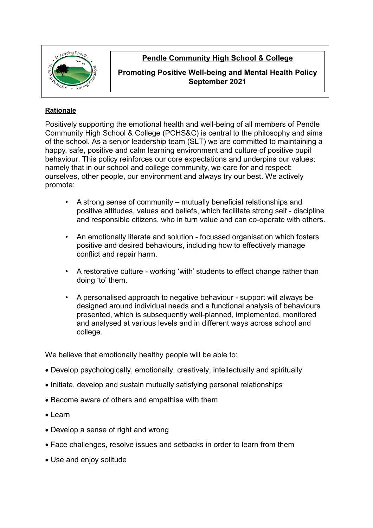

# **Pendle Community High School & College**

#### **Promoting Positive Well-being and Mental Health Policy September 2021**

#### **Rationale**

Positively supporting the emotional health and well-being of all members of Pendle Community High School & College (PCHS&C) is central to the philosophy and aims of the school. As a senior leadership team (SLT) we are committed to maintaining a happy, safe, positive and calm learning environment and culture of positive pupil behaviour. This policy reinforces our core expectations and underpins our values; namely that in our school and college community, we care for and respect: ourselves, other people, our environment and always try our best. We actively promote:

- A strong sense of community mutually beneficial relationships and positive attitudes, values and beliefs, which facilitate strong self - discipline and responsible citizens, who in turn value and can co-operate with others.
- An emotionally literate and solution focussed organisation which fosters positive and desired behaviours, including how to effectively manage conflict and repair harm.
- A restorative culture working 'with' students to effect change rather than doing 'to' them.
- A personalised approach to negative behaviour support will always be designed around individual needs and a functional analysis of behaviours presented, which is subsequently well-planned, implemented, monitored and analysed at various levels and in different ways across school and college.

We believe that emotionally healthy people will be able to:

- Develop psychologically, emotionally, creatively, intellectually and spiritually
- Initiate, develop and sustain mutually satisfying personal relationships
- Become aware of others and empathise with them
- Learn
- Develop a sense of right and wrong
- Face challenges, resolve issues and setbacks in order to learn from them
- Use and enjoy solitude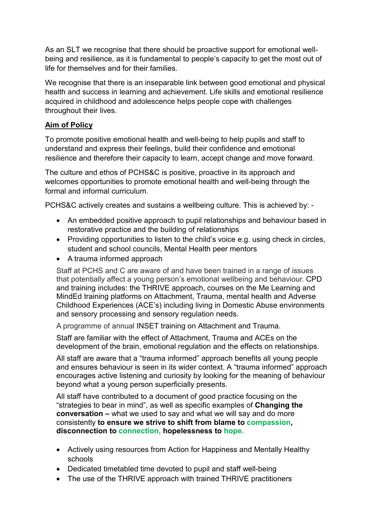As an SLT we recognise that there should be proactive support for emotional wellbeing and resilience, as it is fundamental to people's capacity to get the most out of life for themselves and for their families.

We recognise that there is an inseparable link between good emotional and physical health and success in learning and achievement. Life skills and emotional resilience acquired in childhood and adolescence helps people cope with challenges throughout their lives.

## **Aim of Policy**

To promote positive emotional health and well-being to help pupils and staff to understand and express their feelings, build their confidence and emotional resilience and therefore their capacity to learn, accept change and move forward.

The culture and ethos of PCHS&C is positive, proactive in its approach and welcomes opportunities to promote emotional health and well-being through the formal and informal curriculum.

PCHS&C actively creates and sustains a wellbeing culture. This is achieved by: -

- An embedded positive approach to pupil relationships and behaviour based in restorative practice and the building of relationships
- Providing opportunities to listen to the child's voice e.g. using check in circles, student and school councils, Mental Health peer mentors
- A trauma informed approach

Staff at PCHS and C are aware of and have been trained in a range of issues that potentially affect a young person's emotional wellbeing and behaviour. CPD and training includes: the THRIVE approach, courses on the Me Learning and MindEd training platforms on Attachment, Trauma, mental health and Adverse Childhood Experiences (ACE's) including living in Domestic Abuse environments and sensory processing and sensory regulation needs.

A programme of annual INSET training on Attachment and Trauma.

Staff are familiar with the effect of Attachment, Trauma and ACEs on the development of the brain, emotional regulation and the effects on relationships.

All staff are aware that a "trauma informed" approach benefits all young people and ensures behaviour is seen in its wider context. A "trauma informed" approach encourages active listening and curiosity by looking for the meaning of behaviour beyond what a young person superficially presents.

All staff have contributed to a document of good practice focusing on the "strategies to bear in mind", as well as specific examples of **Changing the conversation –** what we used to say and what we will say and do more consistently **to ensure we strive to shift from blame to compassion, disconnection to connection, hopelessness to hope.**

- Actively using resources from Action for Happiness and Mentally Healthy schools
- Dedicated timetabled time devoted to pupil and staff well-being
- The use of the THRIVE approach with trained THRIVE practitioners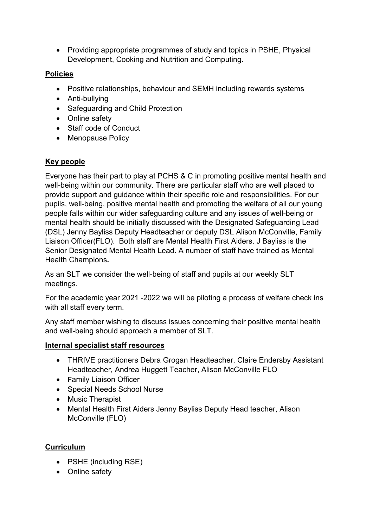• Providing appropriate programmes of study and topics in PSHE, Physical Development, Cooking and Nutrition and Computing.

## **Policies**

- Positive relationships, behaviour and SEMH including rewards systems
- Anti-bullying
- Safeguarding and Child Protection
- Online safety
- Staff code of Conduct
- Menopause Policy

### **Key people**

Everyone has their part to play at PCHS & C in promoting positive mental health and well-being within our community. There are particular staff who are well placed to provide support and guidance within their specific role and responsibilities. For our pupils, well-being, positive mental health and promoting the welfare of all our young people falls within our wider safeguarding culture and any issues of well-being or mental health should be initially discussed with the Designated Safeguarding Lead (DSL) Jenny Bayliss Deputy Headteacher or deputy DSL Alison McConville, Family Liaison Officer(FLO). Both staff are Mental Health First Aiders. J Bayliss is the Senior Designated Mental Health Lead**.** A number of staff have trained as Mental Health Champions**.** 

As an SLT we consider the well-being of staff and pupils at our weekly SLT meetings.

For the academic year 2021 -2022 we will be piloting a process of welfare check ins with all staff every term.

Any staff member wishing to discuss issues concerning their positive mental health and well-being should approach a member of SLT.

### **Internal specialist staff resources**

- THRIVE practitioners Debra Grogan Headteacher, Claire Endersby Assistant Headteacher, Andrea Huggett Teacher, Alison McConville FLO
- Family Liaison Officer
- Special Needs School Nurse
- Music Therapist
- Mental Health First Aiders Jenny Bayliss Deputy Head teacher, Alison McConville (FLO)

### **Curriculum**

- PSHE (including RSE)
- Online safety